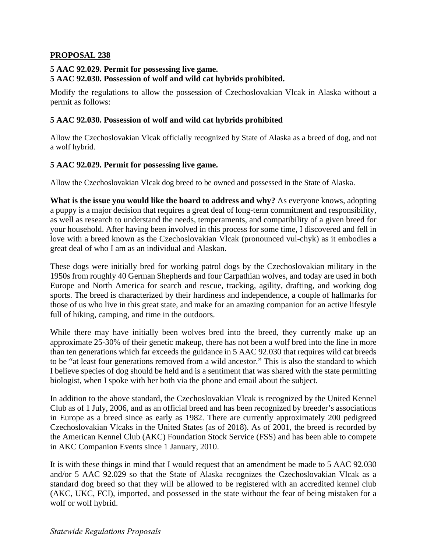#### **PROPOSAL 238**

## 5 AAC 92.029. Permit for possessing live game.

## **5 AAC 92.030. Possession of wolf and wild cat hybrids prohibited.**

Modify the regulations to allow the possession of Czechoslovakian Vlcak in Alaska without a permit as follows:

#### **5 AAC 92.030. Possession of wolf and wild cat hybrids prohibited**

Allow the Czechoslovakian Vlcak officially recognized by State of Alaska as a breed of dog, and not a wolf hybrid.

# **5 AAC 92.029. Permit for possessing live game.**

Allow the Czechoslovakian Vlcak dog breed to be owned and possessed in the State of Alaska.

 great deal of who I am as an individual and Alaskan. **What is the issue you would like the board to address and why?** As everyone knows, adopting a puppy is a major decision that requires a great deal of long-term commitment and responsibility, as well as research to understand the needs, temperaments, and compatibility of a given breed for your household. After having been involved in this process for some time, I discovered and fell in love with a breed known as the Czechoslovakian Vlcak (pronounced vul-chyk) as it embodies a

These dogs were initially bred for working patrol dogs by the Czechoslovakian military in the 1950s from roughly 40 German Shepherds and four Carpathian wolves, and today are used in both Europe and North America for search and rescue, tracking, agility, drafting, and working dog sports. The breed is characterized by their hardiness and independence, a couple of hallmarks for those of us who live in this great state, and make for an amazing companion for an active lifestyle full of hiking, camping, and time in the outdoors.

While there may have initially been wolves bred into the breed, they currently make up an approximate 25-30% of their genetic makeup, there has not been a wolf bred into the line in more than ten generations which far exceeds the guidance in 5 AAC 92.030 that requires wild cat breeds to be "at least four generations removed from a wild ancestor." This is also the standard to which I believe species of dog should be held and is a sentiment that was shared with the state permitting biologist, when I spoke with her both via the phone and email about the subject.

 Club as of 1 July, 2006, and as an official breed and has been recognized by breeder's associations the American Kennel Club (AKC) Foundation Stock Service (FSS) and has been able to compete In addition to the above standard, the Czechoslovakian Vlcak is recognized by the United Kennel in Europe as a breed since as early as 1982. There are currently approximately 200 pedigreed Czechoslovakian Vlcaks in the United States (as of 2018). As of 2001, the breed is recorded by in AKC Companion Events since 1 January, 2010.

 It is with these things in mind that I would request that an amendment be made to 5 AAC 92.030 and/or 5 AAC 92.029 so that the State of Alaska recognizes the Czechoslovakian Vlcak as a standard dog breed so that they will be allowed to be registered with an accredited kennel club (AKC, UKC, FCI), imported, and possessed in the state without the fear of being mistaken for a wolf or wolf hybrid.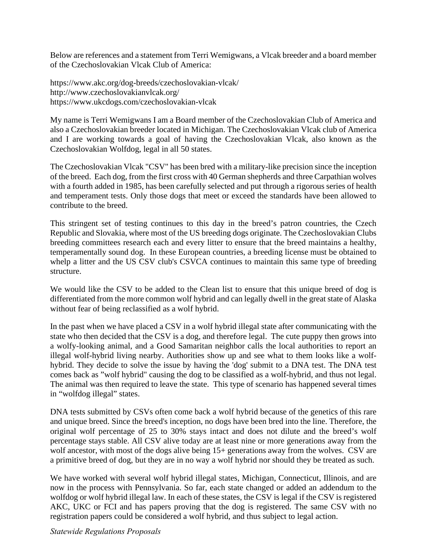Below are references and a statement from Terri Wemigwans, a Vlcak breeder and a board member of the Czechoslovakian Vlcak Club of America:

<https://www.akc.org/dog-breeds/czechoslovakian-vlcak>/ [http://www.czechoslovakianvlcak.org/](http://www.czechoslovakianvlcak.org) <https://www.ukcdogs.com/czechoslovakian-vlcak>

My name is Terri Wemigwans I am a Board member of the Czechoslovakian Club of America and also a Czechoslovakian breeder located in Michigan. The Czechoslovakian Vlcak club of America and I are working towards a goal of having the Czechoslovakian Vlcak, also known as the Czechoslovakian Wolfdog, legal in all 50 states.

 of the breed. Each dog, from the first cross with 40 German shepherds and three Carpathian wolves The Czechoslovakian Vlcak "CSV" has been bred with a military-like precision since the inception with a fourth added in 1985, has been carefully selected and put through a rigorous series of health and temperament tests. Only those dogs that meet or exceed the standards have been allowed to contribute to the breed.

This stringent set of testing continues to this day in the breed's patron countries, the Czech Republic and Slovakia, where most of the US breeding dogs originate. The Czechoslovakian Clubs breeding committees research each and every litter to ensure that the breed maintains a healthy, temperamentally sound dog. In these European countries, a breeding license must be obtained to whelp a litter and the US CSV club's CSVCA continues to maintain this same type of breeding structure.

We would like the CSV to be added to the Clean list to ensure that this unique breed of dog is differentiated from the more common wolf hybrid and can legally dwell in the great state of Alaska without fear of being reclassified as a wolf hybrid.

 In the past when we have placed a CSV in a wolf hybrid illegal state after communicating with the comes back as "wolf hybrid" causing the dog to be classified as a wolf-hybrid, and thus not legal. The animal was then required to leave the state. This type of scenario has happened several times in "wolfdog illegal" states. state who then decided that the CSV is a dog, and therefore legal. The cute puppy then grows into a wolfy-looking animal, and a Good Samaritan neighbor calls the local authorities to report an illegal wolf-hybrid living nearby. Authorities show up and see what to them looks like a wolfhybrid. They decide to solve the issue by having the 'dog' submit to a DNA test. The DNA test

DNA tests submitted by CSVs often come back a wolf hybrid because of the genetics of this rare and unique breed. Since the breed's inception, no dogs have been bred into the line. Therefore, the original wolf percentage of 25 to 30% stays intact and does not dilute and the breed's wolf percentage stays stable. All CSV alive today are at least nine or more generations away from the wolf ancestor, with most of the dogs alive being 15+ generations away from the wolves. CSV are a primitive breed of dog, but they are in no way a wolf hybrid nor should they be treated as such.

 wolfdog or wolf hybrid illegal law. In each of these states, the CSV is legal if the CSV is registered We have worked with several wolf hybrid illegal states, Michigan, Connecticut, Illinois, and are now in the process with Pennsylvania. So far, each state changed or added an addendum to the AKC, UKC or FCI and has papers proving that the dog is registered. The same CSV with no registration papers could be considered a wolf hybrid, and thus subject to legal action.